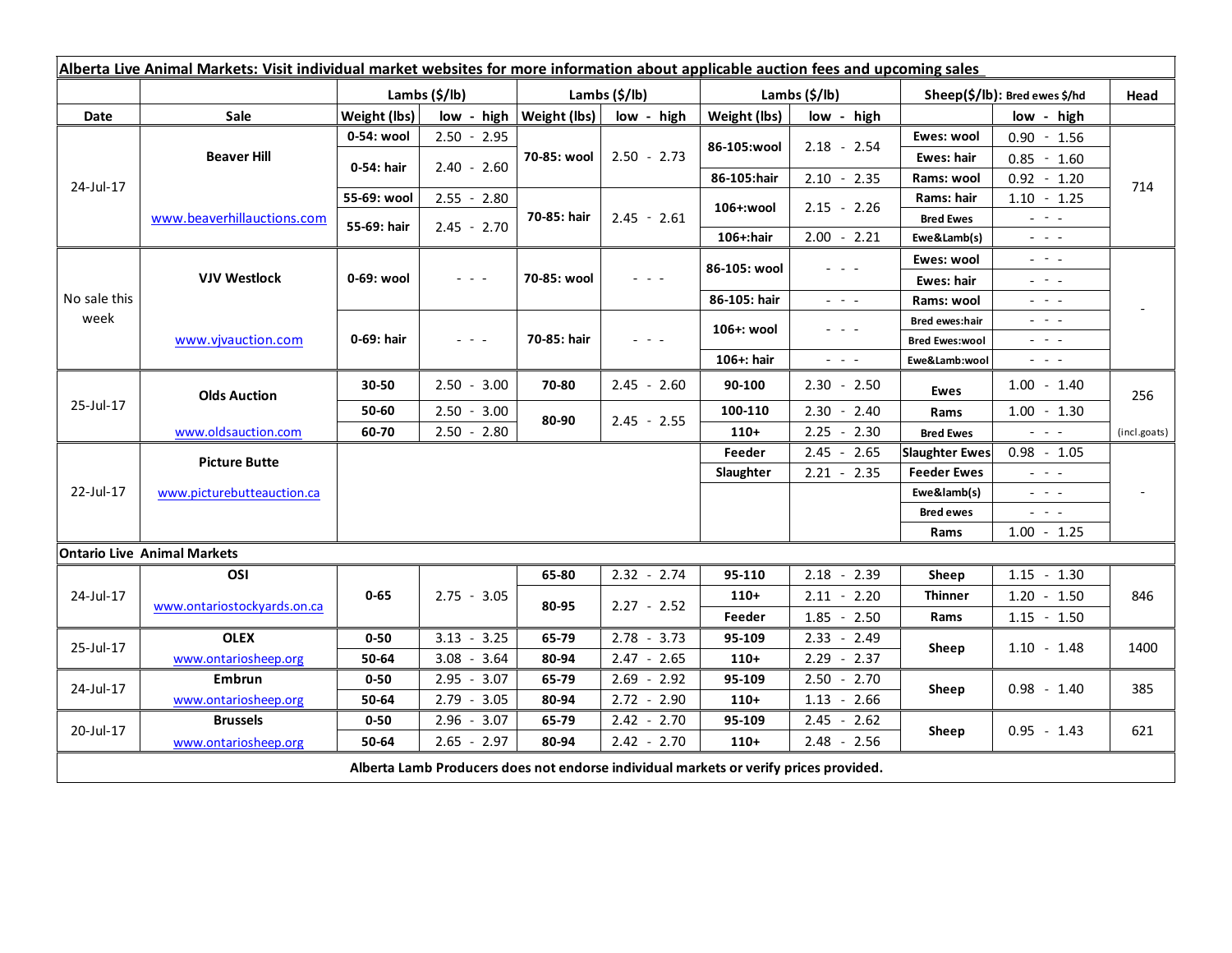| Alberta Live Animal Markets: Visit individual market websites for more information about applicable auction fees and upcoming sales |                                    |                           |                                                                                                                           |               |                      |                           |                                                                 |                                  |                                                                 |              |
|-------------------------------------------------------------------------------------------------------------------------------------|------------------------------------|---------------------------|---------------------------------------------------------------------------------------------------------------------------|---------------|----------------------|---------------------------|-----------------------------------------------------------------|----------------------------------|-----------------------------------------------------------------|--------------|
|                                                                                                                                     |                                    | Lambs $(\frac{2}{3})$ lb) |                                                                                                                           | Lambs (\$/lb) |                      | Lambs $(\frac{2}{3})$ lb) |                                                                 | $Sheep(S/Ib)$ : Bred ewes $$/hd$ |                                                                 | Head         |
| Date                                                                                                                                | Sale                               | Weight (lbs)              | $low - high$                                                                                                              | Weight (lbs)  | low - high           | Weight (lbs)              | low - high                                                      |                                  | low - high                                                      |              |
| 24-Jul-17                                                                                                                           | <b>Beaver Hill</b>                 | 0-54: wool                | $2.50 - 2.95$                                                                                                             | 70-85: wool   | $2.50 - 2.73$        |                           | $2.18 - 2.54$                                                   | Ewes: wool                       | $0.90 - 1.56$                                                   | 714          |
|                                                                                                                                     |                                    | 0-54: hair                | $2.40 - 2.60$                                                                                                             |               |                      | 86-105:wool               |                                                                 | Ewes: hair                       | $0.85 - 1.60$                                                   |              |
|                                                                                                                                     |                                    |                           |                                                                                                                           |               |                      | 86-105:hair               | $2.10 - 2.35$                                                   | Rams: wool                       | $0.92 - 1.20$                                                   |              |
|                                                                                                                                     | www.beaverhillauctions.com         | 55-69: wool               | $2.55 - 2.80$                                                                                                             | 70-85: hair   | $2.45 - 2.61$        | 106+:wool                 | $2.15 - 2.26$                                                   | Rams: hair                       | $1.10 - 1.25$                                                   |              |
|                                                                                                                                     |                                    | 55-69: hair               | $2.45 - 2.70$                                                                                                             |               |                      |                           |                                                                 | <b>Bred Ewes</b>                 | $\omega_{\rm{eff}}$ , $\omega_{\rm{eff}}$ , $\omega_{\rm{eff}}$ |              |
|                                                                                                                                     |                                    |                           |                                                                                                                           |               |                      | 106+:hair                 | $2.00 - 2.21$                                                   | Ewe&Lamb(s)                      | $  -$                                                           |              |
| No sale this<br>week                                                                                                                | <b>VJV Westlock</b>                | 0-69: wool                | $\frac{1}{2} \left( \frac{1}{2} \right) \left( \frac{1}{2} \right) \left( \frac{1}{2} \right) \left( \frac{1}{2} \right)$ | 70-85: wool   |                      | 86-105: wool              |                                                                 | Ewes: wool                       | $\omega_{\rm{eff}}$ and $\omega_{\rm{eff}}$                     |              |
|                                                                                                                                     |                                    |                           |                                                                                                                           |               |                      |                           |                                                                 | Ewes: hair                       | $  -$                                                           |              |
|                                                                                                                                     |                                    |                           |                                                                                                                           |               |                      | 86-105: hair              | $\omega_{\rm{eff}}$ , $\omega_{\rm{eff}}$ , $\omega_{\rm{eff}}$ | Rams: wool                       | $  -$                                                           |              |
|                                                                                                                                     | www.vjvauction.com                 | 0-69: hair                | $\frac{1}{2} \left( \frac{1}{2} \right) = \frac{1}{2} \left( \frac{1}{2} \right)$                                         | 70-85: hair   | $\sim$ $\sim$ $\sim$ | 106+: wool                | $  -$                                                           | <b>Bred ewes:hair</b>            | $  -$                                                           |              |
|                                                                                                                                     |                                    |                           |                                                                                                                           |               |                      |                           |                                                                 | <b>Bred Ewes:wool</b>            | الداريد الد                                                     |              |
|                                                                                                                                     |                                    |                           |                                                                                                                           |               |                      | 106+: hair                | $\omega_{\rm{eff}}$ and $\omega_{\rm{eff}}$                     | Ewe&Lamb:wool                    | $ -$                                                            |              |
| 25-Jul-17                                                                                                                           | <b>Olds Auction</b>                | 30-50                     | $2.50 - 3.00$                                                                                                             | 70-80         | $2.45 - 2.60$        | 90-100                    | $2.30 - 2.50$                                                   | <b>Ewes</b>                      | $1.00 - 1.40$                                                   | 256          |
|                                                                                                                                     |                                    | 50-60                     | $2.50 - 3.00$                                                                                                             | 80-90         | $2.45 - 2.55$        | 100-110                   | $2.30 - 2.40$                                                   | Rams                             | $1.00 - 1.30$                                                   |              |
|                                                                                                                                     | www.oldsauction.com                | 60-70                     | $2.50 - 2.80$                                                                                                             |               |                      | $110+$                    | 2.25<br>$-2.30$                                                 | <b>Bred Ewes</b>                 | $\mathbb{Z}^2$ and $\mathbb{Z}^2$                               | (incl.goats) |
| 22-Jul-17                                                                                                                           | <b>Picture Butte</b>               |                           |                                                                                                                           |               |                      | Feeder                    | $2.45 - 2.65$                                                   | <b>Slaughter Ewes</b>            | $0.98 - 1.05$                                                   |              |
|                                                                                                                                     | www.picturebutteauction.ca         |                           |                                                                                                                           |               |                      | Slaughter                 | $2.21 - 2.35$                                                   | <b>Feeder Ewes</b>               | $\mathbb{Z}^2$ and $\mathbb{Z}^2$                               |              |
|                                                                                                                                     |                                    |                           |                                                                                                                           |               |                      |                           |                                                                 | Ewe&lamb(s)                      | $\mathbb{L}^2 \times \mathbb{L}^2$                              |              |
|                                                                                                                                     |                                    |                           |                                                                                                                           |               |                      |                           |                                                                 | <b>Bred ewes</b>                 | $\omega_{\rm{eff}}$ and $\omega_{\rm{eff}}$                     |              |
|                                                                                                                                     |                                    |                           |                                                                                                                           |               |                      |                           |                                                                 | Rams                             | $1.00 - 1.25$                                                   |              |
|                                                                                                                                     | <b>Ontario Live Animal Markets</b> |                           |                                                                                                                           |               |                      |                           |                                                                 |                                  |                                                                 |              |
| 24-Jul-17                                                                                                                           | OSI                                | $0 - 65$                  | $2.75 - 3.05$                                                                                                             | 65-80         | $2.32 - 2.74$        | 95-110                    | $2.18 - 2.39$                                                   | Sheep                            | $1.15 - 1.30$                                                   | 846          |
|                                                                                                                                     | www.ontariostockyards.on.ca        |                           |                                                                                                                           | 80-95         | $2.27 - 2.52$        | $110+$                    | $2.11 - 2.20$                                                   | Thinner<br>Rams                  | $1.20 - 1.50$                                                   |              |
|                                                                                                                                     |                                    |                           |                                                                                                                           |               |                      | Feeder                    | $1.85 - 2.50$                                                   |                                  | $1.15 - 1.50$                                                   |              |
| 25-Jul-17                                                                                                                           | <b>OLEX</b>                        | $0 - 50$                  | $3.13 - 3.25$                                                                                                             | 65-79         | $2.78 - 3.73$        | 95-109                    | $2.33 - 2.49$                                                   | Sheep                            | $1.10 - 1.48$                                                   | 1400         |
|                                                                                                                                     | www.ontariosheep.org               | 50-64                     | $3.08 - 3.64$                                                                                                             | 80-94         | $2.47 - 2.65$        | $110+$                    | $2.29 - 2.37$                                                   |                                  |                                                                 |              |
| 24-Jul-17                                                                                                                           | Embrun                             | $0 - 50$                  | $2.95 - 3.07$                                                                                                             | 65-79         | $2.69 - 2.92$        | 95-109                    | $2.50 - 2.70$                                                   | Sheep                            | $0.98 - 1.40$                                                   | 385          |
|                                                                                                                                     | www.ontariosheep.org               | 50-64                     | $2.79 - 3.05$                                                                                                             | 80-94         | $2.72 - 2.90$        | $110+$                    | $1.13 - 2.66$                                                   |                                  |                                                                 |              |
| 20-Jul-17                                                                                                                           | <b>Brussels</b>                    | $0 - 50$                  | $2.96 - 3.07$                                                                                                             | 65-79         | $2.42 - 2.70$        | 95-109                    | $2.45 - 2.62$                                                   | Sheep                            | $0.95 - 1.43$                                                   | 621          |
|                                                                                                                                     | www.ontariosheep.org               | 50-64                     | $2.65 - 2.97$                                                                                                             | 80-94         | $2.42 - 2.70$        | $110+$                    | $2.48 - 2.56$                                                   |                                  |                                                                 |              |
| Alberta Lamb Producers does not endorse individual markets or verify prices provided.                                               |                                    |                           |                                                                                                                           |               |                      |                           |                                                                 |                                  |                                                                 |              |